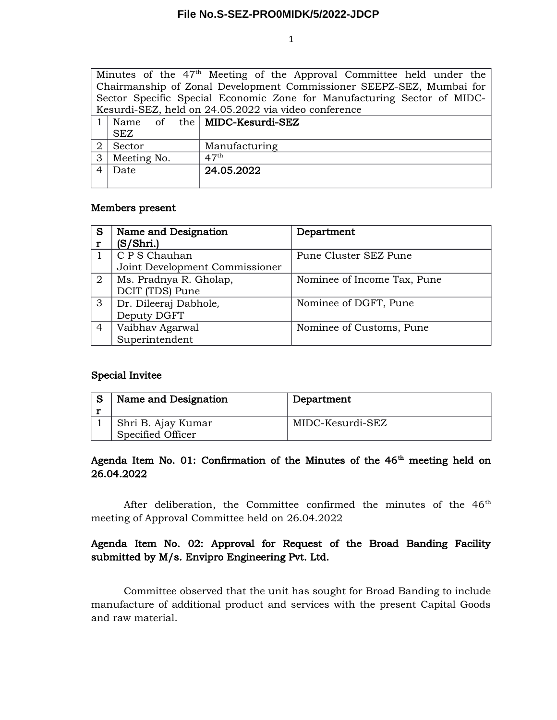#### **File No.S-SEZ-PRO0MIDK/5/2022-JDCP**

1

| Minutes of the 47 <sup>th</sup> Meeting of the Approval Committee held under the |                 |  |  |                                              |  |  |  |
|----------------------------------------------------------------------------------|-----------------|--|--|----------------------------------------------|--|--|--|
| Chairmanship of Zonal Development Commissioner SEEPZ-SEZ, Mumbai for             |                 |  |  |                                              |  |  |  |
| Sector Specific Special Economic Zone for Manufacturing Sector of MIDC-          |                 |  |  |                                              |  |  |  |
| Kesurdi-SEZ, held on 24.05.2022 via video conference                             |                 |  |  |                                              |  |  |  |
|                                                                                  |                 |  |  | $1 \mid$ Name of the $\mid$ MIDC-Kesurdi-SEZ |  |  |  |
|                                                                                  | SEZ             |  |  |                                              |  |  |  |
| 2                                                                                | Sector          |  |  | Manufacturing                                |  |  |  |
|                                                                                  | 3   Meeting No. |  |  | $47^{\rm th}$                                |  |  |  |
| 4 <sup>1</sup>                                                                   | Date            |  |  | 24.05.2022                                   |  |  |  |
|                                                                                  |                 |  |  |                                              |  |  |  |

### Members present

| S              | Name and Designation           | Department                  |  |
|----------------|--------------------------------|-----------------------------|--|
|                | (S/Shri.)                      |                             |  |
|                | C P S Chauhan                  | Pune Cluster SEZ Pune       |  |
|                | Joint Development Commissioner |                             |  |
| $\overline{2}$ | Ms. Pradnya R. Gholap,         | Nominee of Income Tax, Pune |  |
|                | DCIT (TDS) Pune                |                             |  |
| 3              | Dr. Dileeraj Dabhole,          | Nominee of DGFT, Pune       |  |
|                | Deputy DGFT                    |                             |  |
| 4              | Vaibhav Agarwal                | Nominee of Customs, Pune    |  |
|                | Superintendent                 |                             |  |

# Special Invitee

| Name and Designation | Department       |
|----------------------|------------------|
|                      |                  |
| Shri B. Ajay Kumar   | MIDC-Kesurdi-SEZ |
| Specified Officer    |                  |

# Agenda Item No. 01: Confirmation of the Minutes of the  $46<sup>th</sup>$  meeting held on 26.04.2022

After deliberation, the Committee confirmed the minutes of the 46<sup>th</sup> meeting of Approval Committee held on 26.04.2022

# Agenda Item No. 02: Approval for Request of the Broad Banding Facility submitted by M/s. Envipro Engineering Pvt. Ltd.

Committee observed that the unit has sought for Broad Banding to include manufacture of additional product and services with the present Capital Goods and raw material.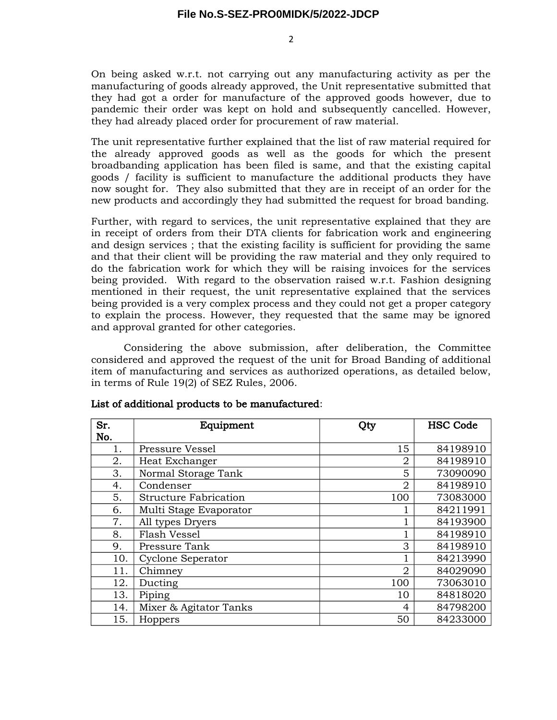$\mathcal{L}$ 

On being asked w.r.t. not carrying out any manufacturing activity as per the manufacturing of goods already approved, the Unit representative submitted that they had got a order for manufacture of the approved goods however, due to pandemic their order was kept on hold and subsequently cancelled. However, they had already placed order for procurement of raw material.

The unit representative further explained that the list of raw material required for the already approved goods as well as the goods for which the present broadbanding application has been filed is same, and that the existing capital goods / facility is sufficient to manufacture the additional products they have now sought for. They also submitted that they are in receipt of an order for the new products and accordingly they had submitted the request for broad banding.

Further, with regard to services, the unit representative explained that they are in receipt of orders from their DTA clients for fabrication work and engineering and design services ; that the existing facility is sufficient for providing the same and that their client will be providing the raw material and they only required to do the fabrication work for which they will be raising invoices for the services being provided. With regard to the observation raised w.r.t. Fashion designing mentioned in their request, the unit representative explained that the services being provided is a very complex process and they could not get a proper category to explain the process. However, they requested that the same may be ignored and approval granted for other categories.

Considering the above submission, after deliberation, the Committee considered and approved the request of the unit for Broad Banding of additional item of manufacturing and services as authorized operations, as detailed below, in terms of Rule 19(2) of SEZ Rules, 2006.

| Sr. | Equipment                    | Qty            | <b>HSC Code</b> |
|-----|------------------------------|----------------|-----------------|
| No. |                              |                |                 |
| 1.  | Pressure Vessel              | 15             | 84198910        |
| 2.  | Heat Exchanger               | $\overline{2}$ | 84198910        |
| 3.  | Normal Storage Tank          | 5              | 73090090        |
| 4.  | Condenser                    | $\overline{2}$ | 84198910        |
| 5.  | <b>Structure Fabrication</b> | 100            | 73083000        |
| 6.  | Multi Stage Evaporator       |                | 84211991        |
| 7.  | All types Dryers             |                | 84193900        |
| 8.  | Flash Vessel                 |                | 84198910        |
| 9.  | Pressure Tank                | 3              | 84198910        |
| 10. | Cyclone Seperator            |                | 84213990        |
| 11. | Chimney                      | $\overline{2}$ | 84029090        |
| 12. | Ducting                      | 100            | 73063010        |
| 13. | Piping                       | 10             | 84818020        |
| 14. | Mixer & Agitator Tanks       | $\overline{4}$ | 84798200        |
| 15. | Hoppers                      | 50             | 84233000        |

#### List of additional products to be manufactured: